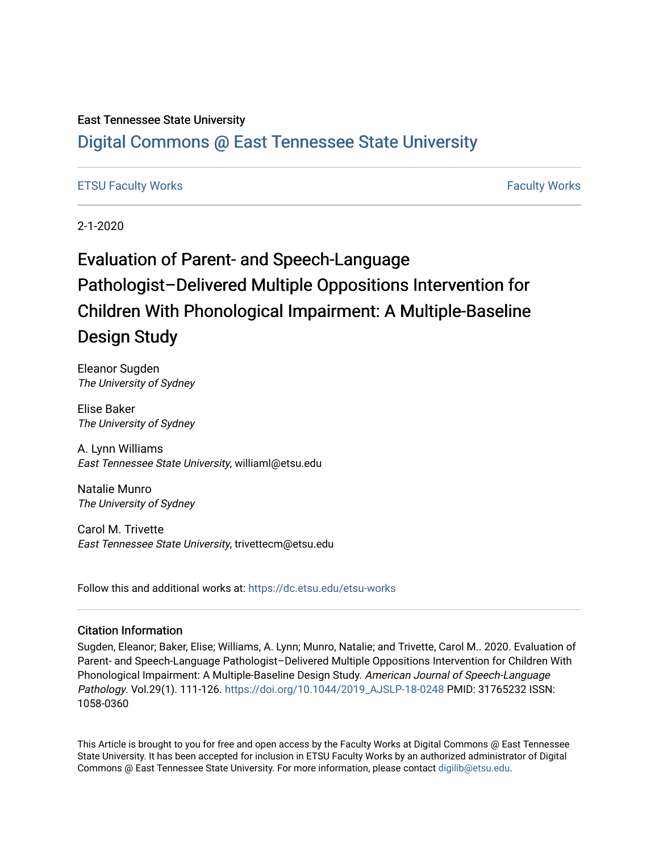## East Tennessee State University

## [Digital Commons @ East Tennessee State University](https://dc.etsu.edu/)

## [ETSU Faculty Works](https://dc.etsu.edu/etsu-works) [Faculty Works](https://dc.etsu.edu/faculty-works)

2-1-2020

# Evaluation of Parent- and Speech-Language Pathologist–Delivered Multiple Oppositions Intervention for Children With Phonological Impairment: A Multiple-Baseline Design Study

Eleanor Sugden The University of Sydney

Elise Baker The University of Sydney

A. Lynn Williams East Tennessee State University, williaml@etsu.edu

Natalie Munro The University of Sydney

Carol M. Trivette East Tennessee State University, trivettecm@etsu.edu

Follow this and additional works at: [https://dc.etsu.edu/etsu-works](https://dc.etsu.edu/etsu-works?utm_source=dc.etsu.edu%2Fetsu-works%2F9216&utm_medium=PDF&utm_campaign=PDFCoverPages) 

## Citation Information

Sugden, Eleanor; Baker, Elise; Williams, A. Lynn; Munro, Natalie; and Trivette, Carol M.. 2020. Evaluation of Parent- and Speech-Language Pathologist–Delivered Multiple Oppositions Intervention for Children With Phonological Impairment: A Multiple-Baseline Design Study. American Journal of Speech-Language Pathology. Vol.29(1). 111-126. [https://doi.org/10.1044/2019\\_AJSLP-18-0248](https://doi.org/10.1044/2019_AJSLP-18-0248) PMID: 31765232 ISSN: 1058-0360

This Article is brought to you for free and open access by the Faculty Works at Digital Commons @ East Tennessee State University. It has been accepted for inclusion in ETSU Faculty Works by an authorized administrator of Digital Commons @ East Tennessee State University. For more information, please contact [digilib@etsu.edu.](mailto:digilib@etsu.edu)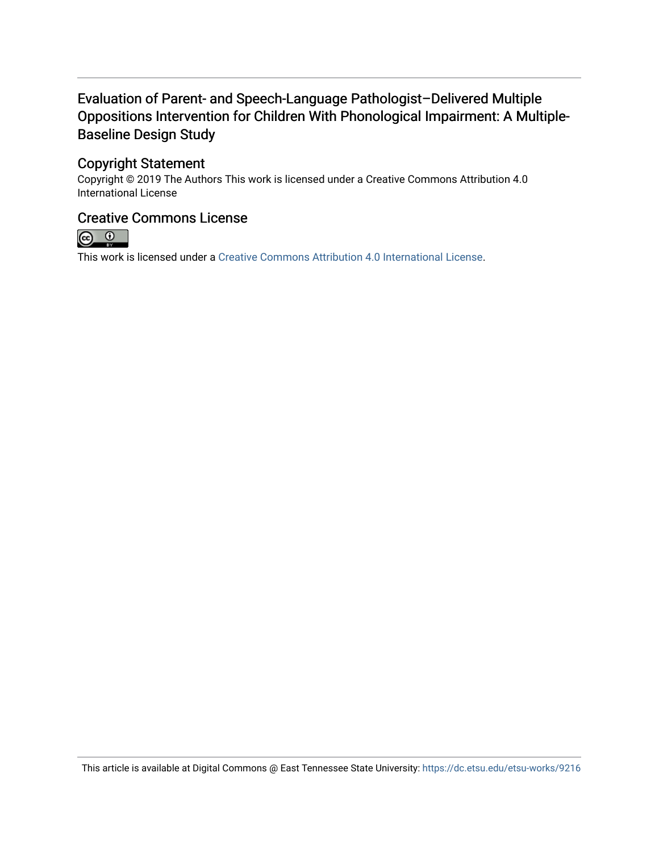## Evaluation of Parent- and Speech-Language Pathologist–Delivered Multiple Oppositions Intervention for Children With Phonological Impairment: A Multiple-Baseline Design Study

## Copyright Statement

Copyright © 2019 The Authors This work is licensed under a Creative Commons Attribution 4.0 International License

## Creative Commons License



This work is licensed under a [Creative Commons Attribution 4.0 International License.](https://creativecommons.org/licenses/by/4.0/)

This article is available at Digital Commons @ East Tennessee State University: <https://dc.etsu.edu/etsu-works/9216>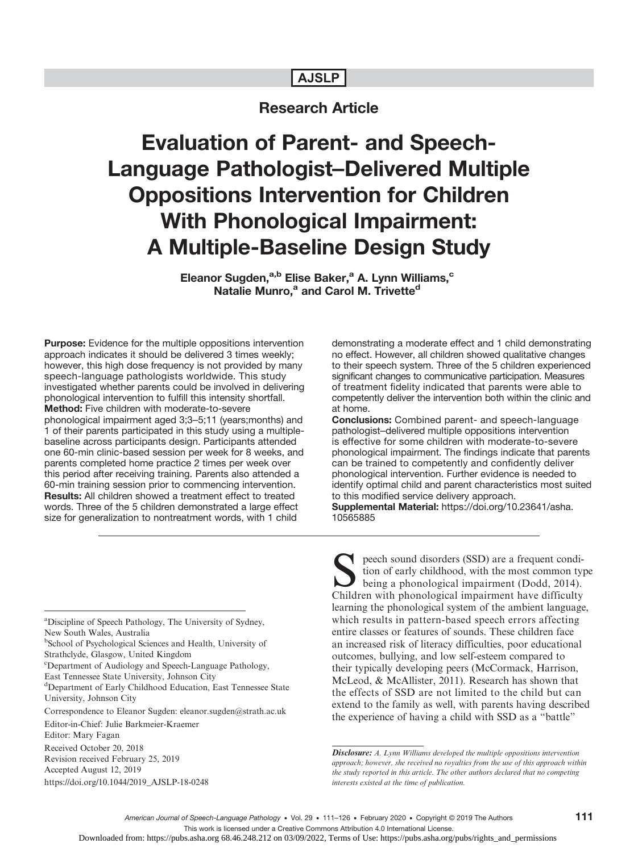## AJSLP

## Research Article

Evaluation of Parent- and Speech-Language Pathologist–Delivered Multiple Oppositions Intervention for Children With Phonological Impairment: A Multiple-Baseline Design Study

> Eleanor Sugden,<sup>a,b</sup> Elise Baker,<sup>a</sup> A. Lynn Williams,<sup>c</sup> Natalie Munro,<sup>a</sup> and Carol M. Trivette<sup>d</sup>

Purpose: Evidence for the multiple oppositions intervention approach indicates it should be delivered 3 times weekly; however, this high dose frequency is not provided by many speech-language pathologists worldwide. This study investigated whether parents could be involved in delivering phonological intervention to fulfill this intensity shortfall. Method: Five children with moderate-to-severe phonological impairment aged 3;3–5;11 (years;months) and 1 of their parents participated in this study using a multiplebaseline across participants design. Participants attended one 60-min clinic-based session per week for 8 weeks, and parents completed home practice 2 times per week over this period after receiving training. Parents also attended a 60-min training session prior to commencing intervention. Results: All children showed a treatment effect to treated words. Three of the 5 children demonstrated a large effect size for generalization to nontreatment words, with 1 child

demonstrating a moderate effect and 1 child demonstrating no effect. However, all children showed qualitative changes to their speech system. Three of the 5 children experienced significant changes to communicative participation. Measures of treatment fidelity indicated that parents were able to competently deliver the intervention both within the clinic and at home.

Conclusions: Combined parent- and speech-language pathologist–delivered multiple oppositions intervention is effective for some children with moderate-to-severe phonological impairment. The findings indicate that parents can be trained to competently and confidently deliver phonological intervention. Further evidence is needed to identify optimal child and parent characteristics most suited to this modified service delivery approach. Supplemental Material: [https://doi.org/10.23641/asha.](https://doi.org/10.23641/asha.10565885) [10565885](https://doi.org/10.23641/asha.10565885)

<sup>a</sup>Discipline of Speech Pathology, The University of Sydney, New South Wales, Australia

<sup>b</sup>School of Psychological Sciences and Health, University of

Strathclyde, Glasgow, United Kingdom

c Department of Audiology and Speech-Language Pathology,

East Tennessee State University, Johnson City

d Department of Early Childhood Education, East Tennessee State University, Johnson City

Correspondence to Eleanor Sugden: eleanor.sugden@strath.ac.uk

Editor-in-Chief: Julie Barkmeier-Kraemer

Editor: Mary Fagan

Received October 20, 2018

Revision received February 25, 2019 Accepted August 12, 2019

[https://doi.org/10.1044/2019\\_AJSLP-18-0248](https://doi.org/10.1044/2019_AJSLP-18-0248)

peech sound disorders (SSD) are a frequent condition of early childhood, with the most common type being a phonological impairment (Dodd, 2014). Children with phonological impairment have difficulty learning the phonological system of the ambient language, which results in pattern-based speech errors affecting entire classes or features of sounds. These children face an increased risk of literacy difficulties, poor educational outcomes, bullying, and low self-esteem compared to their typically developing peers (McCormack, Harrison, McLeod, & McAllister, 2011). Research has shown that the effects of SSD are not limited to the child but can extend to the family as well, with parents having described the experience of having a child with SSD as a "battle"

Disclosure: A. Lynn Williams developed the multiple oppositions intervention approach; however, she received no royalties from the use of this approach within the study reported in this article. The other authors declared that no competing interests existed at the time of publication.

111

Downloaded from: https://pubs.asha.org 68.46.248.212 on 03/09/2022, Terms of Use: https://pubs.asha.org/pubs/rights\_and\_permissions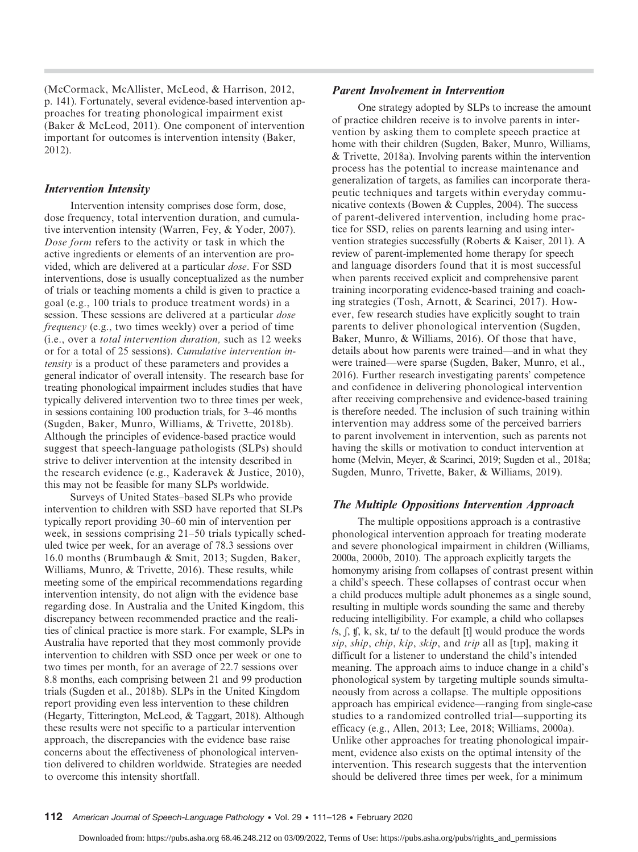(McCormack, McAllister, McLeod, & Harrison, 2012, p. 141). Fortunately, several evidence-based intervention approaches for treating phonological impairment exist (Baker & McLeod, 2011). One component of intervention important for outcomes is intervention intensity (Baker, 2012).

#### Intervention Intensity

Intervention intensity comprises dose form, dose, dose frequency, total intervention duration, and cumulative intervention intensity (Warren, Fey, & Yoder, 2007). Dose form refers to the activity or task in which the active ingredients or elements of an intervention are provided, which are delivered at a particular *dose*. For SSD interventions, dose is usually conceptualized as the number of trials or teaching moments a child is given to practice a goal (e.g., 100 trials to produce treatment words) in a session. These sessions are delivered at a particular *dose* frequency (e.g., two times weekly) over a period of time (i.e., over a total intervention duration, such as 12 weeks or for a total of 25 sessions). Cumulative intervention intensity is a product of these parameters and provides a general indicator of overall intensity. The research base for treating phonological impairment includes studies that have typically delivered intervention two to three times per week, in sessions containing 100 production trials, for 3–46 months (Sugden, Baker, Munro, Williams, & Trivette, 2018b). Although the principles of evidence-based practice would suggest that speech-language pathologists (SLPs) should strive to deliver intervention at the intensity described in the research evidence (e.g., Kaderavek & Justice, 2010), this may not be feasible for many SLPs worldwide.

Surveys of United States–based SLPs who provide intervention to children with SSD have reported that SLPs typically report providing 30–60 min of intervention per week, in sessions comprising 21–50 trials typically scheduled twice per week, for an average of 78.3 sessions over 16.0 months (Brumbaugh & Smit, 2013; Sugden, Baker, Williams, Munro, & Trivette, 2016). These results, while meeting some of the empirical recommendations regarding intervention intensity, do not align with the evidence base regarding dose. In Australia and the United Kingdom, this discrepancy between recommended practice and the realities of clinical practice is more stark. For example, SLPs in Australia have reported that they most commonly provide intervention to children with SSD once per week or one to two times per month, for an average of 22.7 sessions over 8.8 months, each comprising between 21 and 99 production trials (Sugden et al., 2018b). SLPs in the United Kingdom report providing even less intervention to these children (Hegarty, Titterington, McLeod, & Taggart, 2018). Although these results were not specific to a particular intervention approach, the discrepancies with the evidence base raise concerns about the effectiveness of phonological intervention delivered to children worldwide. Strategies are needed to overcome this intensity shortfall.

#### Parent Involvement in Intervention

One strategy adopted by SLPs to increase the amount of practice children receive is to involve parents in intervention by asking them to complete speech practice at home with their children (Sugden, Baker, Munro, Williams, & Trivette, 2018a). Involving parents within the intervention process has the potential to increase maintenance and generalization of targets, as families can incorporate therapeutic techniques and targets within everyday communicative contexts (Bowen & Cupples, 2004). The success of parent-delivered intervention, including home practice for SSD, relies on parents learning and using intervention strategies successfully (Roberts & Kaiser, 2011). A review of parent-implemented home therapy for speech and language disorders found that it is most successful when parents received explicit and comprehensive parent training incorporating evidence-based training and coaching strategies (Tosh, Arnott, & Scarinci, 2017). However, few research studies have explicitly sought to train parents to deliver phonological intervention (Sugden, Baker, Munro, & Williams, 2016). Of those that have, details about how parents were trained—and in what they were trained—were sparse (Sugden, Baker, Munro, et al., 2016). Further research investigating parents' competence and confidence in delivering phonological intervention after receiving comprehensive and evidence-based training is therefore needed. The inclusion of such training within intervention may address some of the perceived barriers to parent involvement in intervention, such as parents not having the skills or motivation to conduct intervention at home (Melvin, Meyer, & Scarinci, 2019; Sugden et al., 2018a; Sugden, Munro, Trivette, Baker, & Williams, 2019).

#### The Multiple Oppositions Intervention Approach

The multiple oppositions approach is a contrastive phonological intervention approach for treating moderate and severe phonological impairment in children (Williams, 2000a, 2000b, 2010). The approach explicitly targets the homonymy arising from collapses of contrast present within a child's speech. These collapses of contrast occur when a child produces multiple adult phonemes as a single sound, resulting in multiple words sounding the same and thereby reducing intelligibility. For example, a child who collapses  $\sqrt{s}$ ,  $\int$ ,  $\int$ ,  $\int$ ,  $\int$ ,  $\int$ ,  $\int$ ,  $\int$ ,  $\int$ ,  $\int$  to the default [t] would produce the words sip, ship, chip, kip, skip, and trip all as [tɪp], making it difficult for a listener to understand the child's intended meaning. The approach aims to induce change in a child's phonological system by targeting multiple sounds simultaneously from across a collapse. The multiple oppositions approach has empirical evidence—ranging from single-case studies to a randomized controlled trial—supporting its efficacy (e.g., Allen, 2013; Lee, 2018; Williams, 2000a). Unlike other approaches for treating phonological impairment, evidence also exists on the optimal intensity of the intervention. This research suggests that the intervention should be delivered three times per week, for a minimum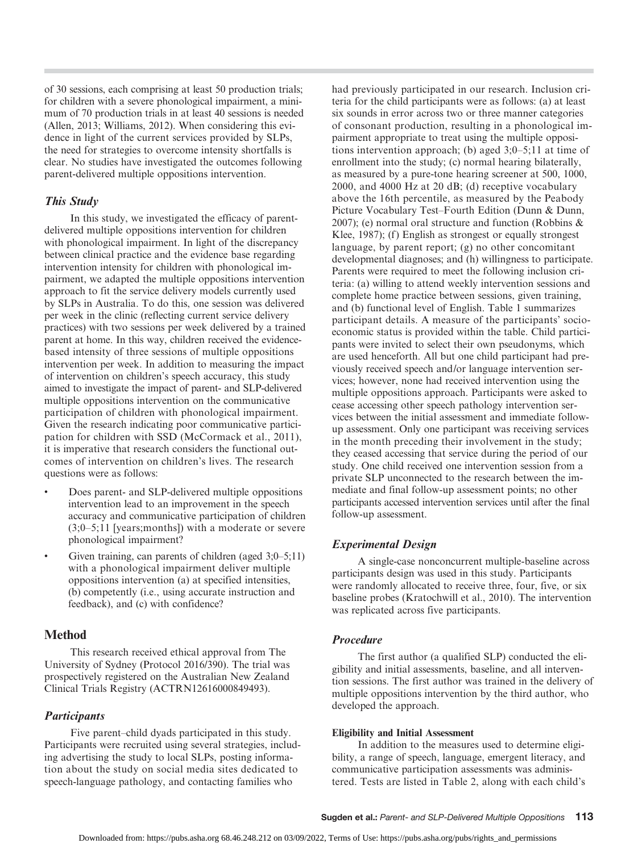of 30 sessions, each comprising at least 50 production trials; for children with a severe phonological impairment, a minimum of 70 production trials in at least 40 sessions is needed (Allen, 2013; Williams, 2012). When considering this evidence in light of the current services provided by SLPs, the need for strategies to overcome intensity shortfalls is clear. No studies have investigated the outcomes following parent-delivered multiple oppositions intervention.

### This Study

In this study, we investigated the efficacy of parentdelivered multiple oppositions intervention for children with phonological impairment. In light of the discrepancy between clinical practice and the evidence base regarding intervention intensity for children with phonological impairment, we adapted the multiple oppositions intervention approach to fit the service delivery models currently used by SLPs in Australia. To do this, one session was delivered per week in the clinic (reflecting current service delivery practices) with two sessions per week delivered by a trained parent at home. In this way, children received the evidencebased intensity of three sessions of multiple oppositions intervention per week. In addition to measuring the impact of intervention on children's speech accuracy, this study aimed to investigate the impact of parent- and SLP-delivered multiple oppositions intervention on the communicative participation of children with phonological impairment. Given the research indicating poor communicative participation for children with SSD (McCormack et al., 2011), it is imperative that research considers the functional outcomes of intervention on children's lives. The research questions were as follows:

- Does parent- and SLP-delivered multiple oppositions intervention lead to an improvement in the speech accuracy and communicative participation of children (3;0–5;11 [years;months]) with a moderate or severe phonological impairment?
- Given training, can parents of children (aged 3;0–5;11) with a phonological impairment deliver multiple oppositions intervention (a) at specified intensities, (b) competently (i.e., using accurate instruction and feedback), and (c) with confidence?

### Method

This research received ethical approval from The University of Sydney (Protocol 2016/390). The trial was prospectively registered on the Australian New Zealand Clinical Trials Registry (ACTRN12616000849493).

### **Participants**

Five parent–child dyads participated in this study. Participants were recruited using several strategies, including advertising the study to local SLPs, posting information about the study on social media sites dedicated to speech-language pathology, and contacting families who

had previously participated in our research. Inclusion criteria for the child participants were as follows: (a) at least six sounds in error across two or three manner categories of consonant production, resulting in a phonological impairment appropriate to treat using the multiple oppositions intervention approach; (b) aged 3;0–5;11 at time of enrollment into the study; (c) normal hearing bilaterally, as measured by a pure-tone hearing screener at 500, 1000, 2000, and 4000 Hz at 20 dB; (d) receptive vocabulary above the 16th percentile, as measured by the Peabody Picture Vocabulary Test–Fourth Edition (Dunn & Dunn, 2007); (e) normal oral structure and function (Robbins & Klee, 1987); (f) English as strongest or equally strongest language, by parent report; (g) no other concomitant developmental diagnoses; and (h) willingness to participate. Parents were required to meet the following inclusion criteria: (a) willing to attend weekly intervention sessions and complete home practice between sessions, given training, and (b) functional level of English. Table 1 summarizes participant details. A measure of the participants' socioeconomic status is provided within the table. Child participants were invited to select their own pseudonyms, which are used henceforth. All but one child participant had previously received speech and/or language intervention services; however, none had received intervention using the multiple oppositions approach. Participants were asked to cease accessing other speech pathology intervention services between the initial assessment and immediate followup assessment. Only one participant was receiving services in the month preceding their involvement in the study; they ceased accessing that service during the period of our study. One child received one intervention session from a private SLP unconnected to the research between the immediate and final follow-up assessment points; no other participants accessed intervention services until after the final follow-up assessment.

#### Experimental Design

A single-case nonconcurrent multiple-baseline across participants design was used in this study. Participants were randomly allocated to receive three, four, five, or six baseline probes (Kratochwill et al., 2010). The intervention was replicated across five participants.

#### Procedure

The first author (a qualified SLP) conducted the eligibility and initial assessments, baseline, and all intervention sessions. The first author was trained in the delivery of multiple oppositions intervention by the third author, who developed the approach.

#### Eligibility and Initial Assessment

In addition to the measures used to determine eligibility, a range of speech, language, emergent literacy, and communicative participation assessments was administered. Tests are listed in Table 2, along with each child's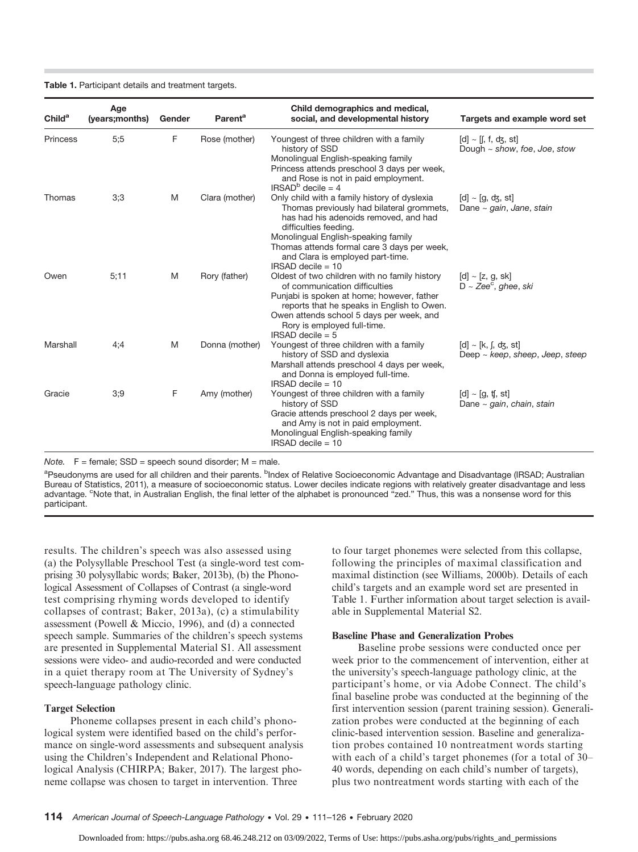Table 1. Participant details and treatment targets.

| Child <sup>a</sup> | Age<br>(years; months) | Gender | Parent <sup>a</sup> | Child demographics and medical,<br>social, and developmental history                                                                                                                                                                                                                                         | Targets and example word set                                    |
|--------------------|------------------------|--------|---------------------|--------------------------------------------------------------------------------------------------------------------------------------------------------------------------------------------------------------------------------------------------------------------------------------------------------------|-----------------------------------------------------------------|
| Princess           | 5:5                    | F      | Rose (mother)       | Youngest of three children with a family<br>history of SSD<br>Monolingual English-speaking family<br>Princess attends preschool 3 days per week,<br>and Rose is not in paid employment.                                                                                                                      | $[d] \sim [[, f, dg, st]]$<br>Dough $\sim$ show, foe, Joe, stow |
| Thomas             | 3;3                    | M      | Clara (mother)      | $IRSADb$ decile = 4<br>Only child with a family history of dyslexia<br>Thomas previously had bilateral grommets,<br>has had his adenoids removed, and had<br>difficulties feeding.<br>Monolingual English-speaking family<br>Thomas attends formal care 3 days per week,<br>and Clara is employed part-time. | $[d] \sim [q, dz, st]$<br>Dane $\sim$ gain, Jane, stain         |
| Owen               | 5:11                   | M      | Rory (father)       | $IRSAD$ decile = 10<br>Oldest of two children with no family history<br>of communication difficulties<br>Punjabi is spoken at home; however, father<br>reports that he speaks in English to Owen.<br>Owen attends school 5 days per week, and<br>Rory is employed full-time.                                 | $[d] \sim [z, g, sk]$<br>$D \sim Zee^c$ , ahee, ski             |
| Marshall           | 4:4                    | M      | Donna (mother)      | <b>IRSAD</b> decile $= 5$<br>Youngest of three children with a family<br>history of SSD and dyslexia<br>Marshall attends preschool 4 days per week,<br>and Donna is employed full-time.<br>$IRSAD$ decile = 10                                                                                               | $[d] \sim [k, j, dz, st]$<br>Deep ~ keep, sheep, Jeep, steep    |
| Gracie             | 3:9                    | F      | Amy (mother)        | Youngest of three children with a family<br>history of SSD<br>Gracie attends preschool 2 days per week,<br>and Amy is not in paid employment.<br>Monolingual English-speaking family<br>$IRSAD$ decile = 10                                                                                                  | $[d] \sim [q, t]$ , st<br>Dane $\sim$ gain, chain, stain        |

Note.  $F =$  female; SSD = speech sound disorder; M = male.

<sup>a</sup>Pseudonyms are used for all children and their parents. <sup>b</sup>Index of Relative Socioeconomic Advantage and Disadvantage (IRSAD; Australian Bureau of Statistics, 2011), a measure of socioeconomic status. Lower deciles indicate regions with relatively greater disadvantage and less advantage. <sup>c</sup>Note that, in Australian English, the final letter of the alphabet is pronounced "zed." Thus, this was a nonsense word for this participant.

results. The children's speech was also assessed using (a) the Polysyllable Preschool Test (a single-word test comprising 30 polysyllabic words; Baker, 2013b), (b) the Phonological Assessment of Collapses of Contrast (a single-word test comprising rhyming words developed to identify collapses of contrast; Baker, 2013a), (c) a stimulability assessment (Powell & Miccio, 1996), and (d) a connected speech sample. Summaries of the children's speech systems are presented in Supplemental Material S1. All assessment sessions were video- and audio-recorded and were conducted in a quiet therapy room at The University of Sydney's speech-language pathology clinic.

#### Target Selection

Phoneme collapses present in each child's phonological system were identified based on the child's performance on single-word assessments and subsequent analysis using the Children's Independent and Relational Phonological Analysis (CHIRPA; Baker, 2017). The largest phoneme collapse was chosen to target in intervention. Three

to four target phonemes were selected from this collapse, following the principles of maximal classification and maximal distinction (see Williams, 2000b). Details of each child's targets and an example word set are presented in Table 1. Further information about target selection is available in Supplemental Material S2.

#### Baseline Phase and Generalization Probes

Baseline probe sessions were conducted once per week prior to the commencement of intervention, either at the university's speech-language pathology clinic, at the participant's home, or via Adobe Connect. The child's final baseline probe was conducted at the beginning of the first intervention session (parent training session). Generalization probes were conducted at the beginning of each clinic-based intervention session. Baseline and generalization probes contained 10 nontreatment words starting with each of a child's target phonemes (for a total of 30– 40 words, depending on each child's number of targets), plus two nontreatment words starting with each of the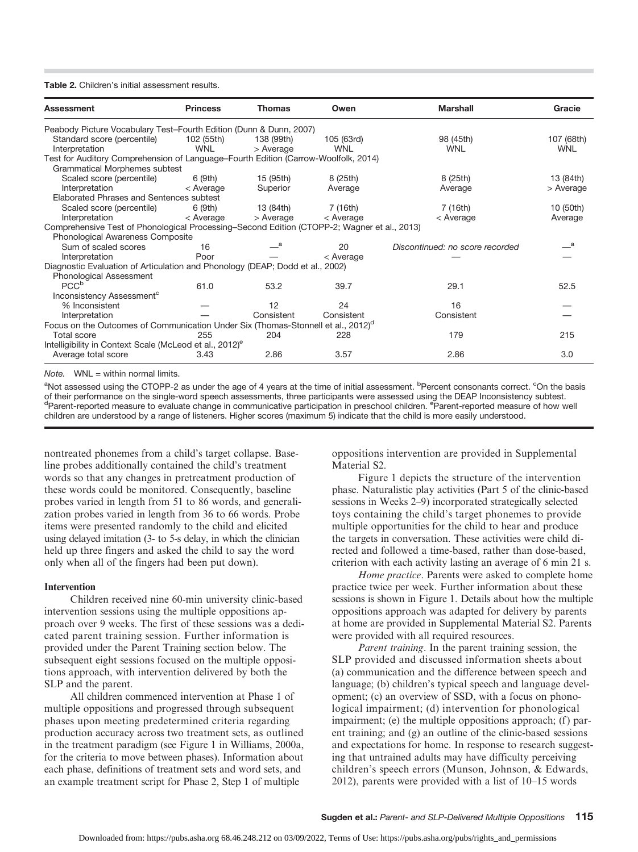#### Table 2. Children's initial assessment results.

| <b>Assessment</b>                                                                            | <b>Princess</b>          | <b>Thomas</b>           | Owen                     | <b>Marshall</b>                 | Gracie            |
|----------------------------------------------------------------------------------------------|--------------------------|-------------------------|--------------------------|---------------------------------|-------------------|
| Peabody Picture Vocabulary Test-Fourth Edition (Dunn & Dunn, 2007)                           |                          |                         |                          |                                 |                   |
| Standard score (percentile)<br>Interpretation                                                | 102 (55th)<br><b>WNI</b> | 138 (99th)<br>> Average | 105 (63rd)<br><b>WNL</b> | 98 (45th)<br><b>WNL</b>         | 107 (68th)<br>WNL |
| Test for Auditory Comprehension of Language-Fourth Edition (Carrow-Woolfolk, 2014)           |                          |                         |                          |                                 |                   |
| Grammatical Morphemes subtest                                                                |                          |                         |                          |                                 |                   |
| Scaled score (percentile)                                                                    | 6 (9th)                  | 15 (95th)               | 8 (25th)                 | 8 (25th)                        | 13 (84th)         |
| Interpretation                                                                               | < Average                | Superior                | Average                  | Average                         | > Average         |
| Elaborated Phrases and Sentences subtest                                                     |                          |                         |                          |                                 |                   |
| Scaled score (percentile)                                                                    | 6 (9th)                  | 13 (84th)               | 7 (16th)                 | 7 (16th)                        | 10 (50th)         |
| Interpretation                                                                               | < Average                | > Average               | < Average                | < Average                       | Average           |
| Comprehensive Test of Phonological Processing–Second Edition (CTOPP-2; Wagner et al., 2013)  |                          |                         |                          |                                 |                   |
| Phonological Awareness Composite                                                             |                          |                         |                          |                                 |                   |
| Sum of scaled scores                                                                         | 16                       |                         | 20                       | Discontinued: no score recorded | <sub>a</sub>      |
| Interpretation                                                                               | Poor                     |                         | < Average                |                                 |                   |
| Diagnostic Evaluation of Articulation and Phonology (DEAP; Dodd et al., 2002)                |                          |                         |                          |                                 |                   |
| Phonological Assessment                                                                      |                          |                         |                          |                                 |                   |
| PCC <sup>b</sup>                                                                             | 61.0                     | 53.2                    | 39.7                     | 29.1                            | 52.5              |
| Inconsistency Assessment <sup>c</sup>                                                        |                          |                         |                          |                                 |                   |
| % Inconsistent                                                                               |                          | 12                      | 24                       | 16                              |                   |
| Interpretation                                                                               |                          | Consistent              | Consistent               | Consistent                      |                   |
| Focus on the Outcomes of Communication Under Six (Thomas-Stonnell et al., 2012) <sup>o</sup> |                          |                         |                          |                                 |                   |
| Total score                                                                                  | 255                      | 204                     | 228                      | 179                             | 215               |
| Intelligibility in Context Scale (McLeod et al., 2012) <sup>e</sup>                          |                          |                         |                          |                                 |                   |
| Average total score                                                                          | 3.43                     | 2.86                    | 3.57                     | 2.86                            | 3.0               |

 $Note.$  WNL = within normal limits.

<sup>a</sup>Not assessed using the CTOPP-2 as under the age of 4 years at the time of initial assessment. <sup>b</sup>Percent consonants correct. <sup>c</sup>On the basis of their performance on the single-word speech assessments, three participants were assessed using the DEAP Inconsistency subtest. <sup>d</sup>Parent-reported measure to evaluate change in communicative participation in preschool children. <sup>e</sup>Parent-reported measure of how well children are understood by a range of listeners. Higher scores (maximum 5) indicate that the child is more easily understood.

nontreated phonemes from a child's target collapse. Baseline probes additionally contained the child's treatment words so that any changes in pretreatment production of these words could be monitored. Consequently, baseline probes varied in length from 51 to 86 words, and generalization probes varied in length from 36 to 66 words. Probe items were presented randomly to the child and elicited using delayed imitation (3- to 5-s delay, in which the clinician held up three fingers and asked the child to say the word only when all of the fingers had been put down).

#### Intervention

Children received nine 60-min university clinic-based intervention sessions using the multiple oppositions approach over 9 weeks. The first of these sessions was a dedicated parent training session. Further information is provided under the Parent Training section below. The subsequent eight sessions focused on the multiple oppositions approach, with intervention delivered by both the SLP and the parent.

All children commenced intervention at Phase 1 of multiple oppositions and progressed through subsequent phases upon meeting predetermined criteria regarding production accuracy across two treatment sets, as outlined in the treatment paradigm (see Figure 1 in Williams, 2000a, for the criteria to move between phases). Information about each phase, definitions of treatment sets and word sets, and an example treatment script for Phase 2, Step 1 of multiple

oppositions intervention are provided in Supplemental Material S2.

Figure 1 depicts the structure of the intervention phase. Naturalistic play activities (Part 5 of the clinic-based sessions in Weeks 2–9) incorporated strategically selected toys containing the child's target phonemes to provide multiple opportunities for the child to hear and produce the targets in conversation. These activities were child directed and followed a time-based, rather than dose-based, criterion with each activity lasting an average of 6 min 21 s.

Home practice. Parents were asked to complete home practice twice per week. Further information about these sessions is shown in Figure 1. Details about how the multiple oppositions approach was adapted for delivery by parents at home are provided in Supplemental Material S2. Parents were provided with all required resources.

Parent training. In the parent training session, the SLP provided and discussed information sheets about (a) communication and the difference between speech and language; (b) children's typical speech and language development; (c) an overview of SSD, with a focus on phonological impairment; (d) intervention for phonological impairment; (e) the multiple oppositions approach; (f) parent training; and (g) an outline of the clinic-based sessions and expectations for home. In response to research suggesting that untrained adults may have difficulty perceiving children's speech errors (Munson, Johnson, & Edwards, 2012), parents were provided with a list of 10–15 words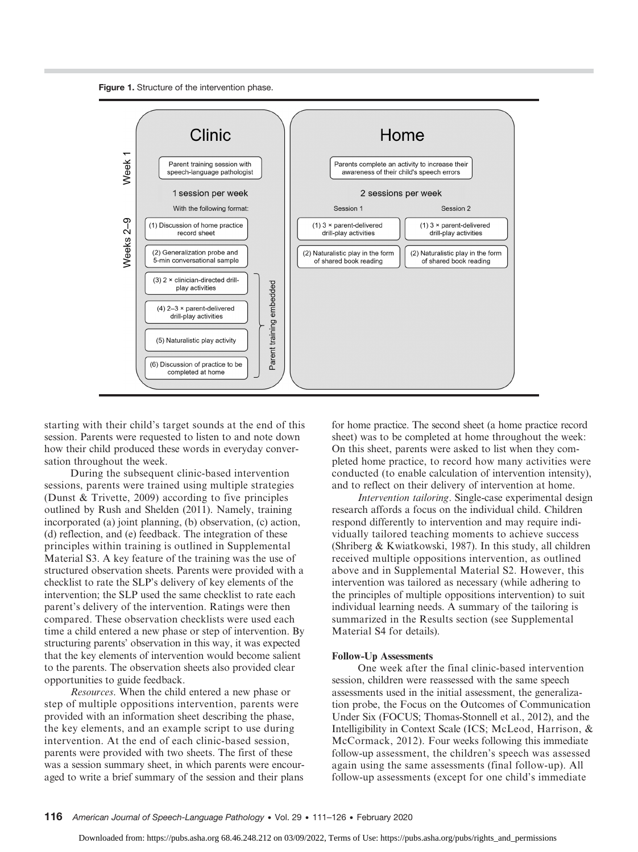



starting with their child's target sounds at the end of this session. Parents were requested to listen to and note down how their child produced these words in everyday conversation throughout the week.

During the subsequent clinic-based intervention sessions, parents were trained using multiple strategies (Dunst & Trivette, 2009) according to five principles outlined by Rush and Shelden (2011). Namely, training incorporated (a) joint planning, (b) observation, (c) action, (d) reflection, and (e) feedback. The integration of these principles within training is outlined in Supplemental Material S3. A key feature of the training was the use of structured observation sheets. Parents were provided with a checklist to rate the SLP's delivery of key elements of the intervention; the SLP used the same checklist to rate each parent's delivery of the intervention. Ratings were then compared. These observation checklists were used each time a child entered a new phase or step of intervention. By structuring parents' observation in this way, it was expected that the key elements of intervention would become salient to the parents. The observation sheets also provided clear opportunities to guide feedback.

Resources. When the child entered a new phase or step of multiple oppositions intervention, parents were provided with an information sheet describing the phase, the key elements, and an example script to use during intervention. At the end of each clinic-based session, parents were provided with two sheets. The first of these was a session summary sheet, in which parents were encouraged to write a brief summary of the session and their plans

for home practice. The second sheet (a home practice record sheet) was to be completed at home throughout the week: On this sheet, parents were asked to list when they completed home practice, to record how many activities were conducted (to enable calculation of intervention intensity), and to reflect on their delivery of intervention at home.

Intervention tailoring. Single-case experimental design research affords a focus on the individual child. Children respond differently to intervention and may require individually tailored teaching moments to achieve success (Shriberg & Kwiatkowski, 1987). In this study, all children received multiple oppositions intervention, as outlined above and in Supplemental Material S2. However, this intervention was tailored as necessary (while adhering to the principles of multiple oppositions intervention) to suit individual learning needs. A summary of the tailoring is summarized in the Results section (see Supplemental Material S4 for details).

#### Follow-Up Assessments

One week after the final clinic-based intervention session, children were reassessed with the same speech assessments used in the initial assessment, the generalization probe, the Focus on the Outcomes of Communication Under Six (FOCUS; Thomas-Stonnell et al., 2012), and the Intelligibility in Context Scale (ICS; McLeod, Harrison, & McCormack, 2012). Four weeks following this immediate follow-up assessment, the children's speech was assessed again using the same assessments (final follow-up). All follow-up assessments (except for one child's immediate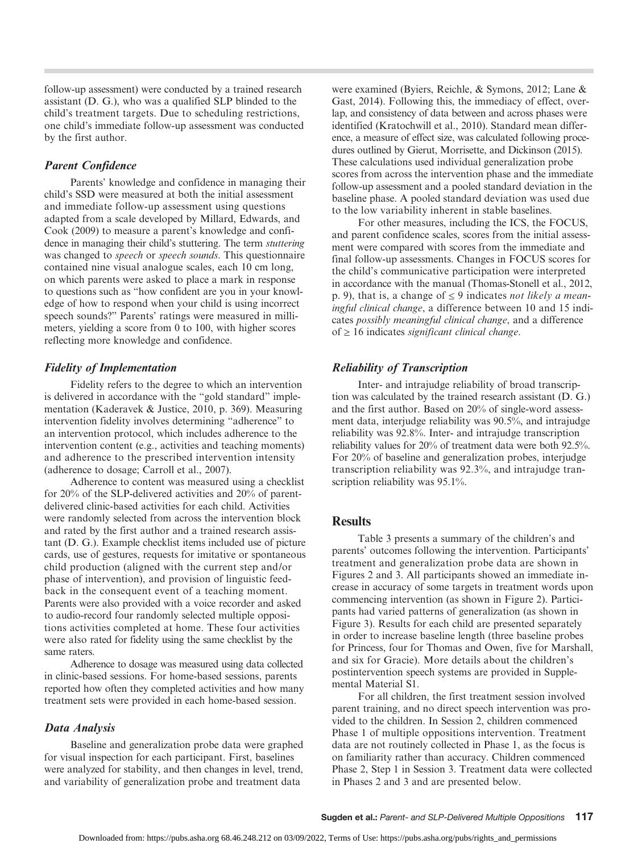follow-up assessment) were conducted by a trained research assistant (D. G.), who was a qualified SLP blinded to the child's treatment targets. Due to scheduling restrictions, one child's immediate follow-up assessment was conducted by the first author.

### Parent Confidence

Parents' knowledge and confidence in managing their child's SSD were measured at both the initial assessment and immediate follow-up assessment using questions adapted from a scale developed by Millard, Edwards, and Cook (2009) to measure a parent's knowledge and confidence in managing their child's stuttering. The term stuttering was changed to *speech* or *speech sounds*. This questionnaire contained nine visual analogue scales, each 10 cm long, on which parents were asked to place a mark in response to questions such as "how confident are you in your knowledge of how to respond when your child is using incorrect speech sounds?" Parents' ratings were measured in millimeters, yielding a score from 0 to 100, with higher scores reflecting more knowledge and confidence.

## Fidelity of Implementation

Fidelity refers to the degree to which an intervention is delivered in accordance with the "gold standard" implementation (Kaderavek & Justice, 2010, p. 369). Measuring intervention fidelity involves determining "adherence" to an intervention protocol, which includes adherence to the intervention content (e.g., activities and teaching moments) and adherence to the prescribed intervention intensity (adherence to dosage; Carroll et al., 2007).

Adherence to content was measured using a checklist for 20% of the SLP-delivered activities and 20% of parentdelivered clinic-based activities for each child. Activities were randomly selected from across the intervention block and rated by the first author and a trained research assistant (D. G.). Example checklist items included use of picture cards, use of gestures, requests for imitative or spontaneous child production (aligned with the current step and/or phase of intervention), and provision of linguistic feedback in the consequent event of a teaching moment. Parents were also provided with a voice recorder and asked to audio-record four randomly selected multiple oppositions activities completed at home. These four activities were also rated for fidelity using the same checklist by the same raters.

Adherence to dosage was measured using data collected in clinic-based sessions. For home-based sessions, parents reported how often they completed activities and how many treatment sets were provided in each home-based session.

## Data Analysis

Baseline and generalization probe data were graphed for visual inspection for each participant. First, baselines were analyzed for stability, and then changes in level, trend, and variability of generalization probe and treatment data

were examined (Byiers, Reichle, & Symons, 2012; Lane & Gast, 2014). Following this, the immediacy of effect, overlap, and consistency of data between and across phases were identified (Kratochwill et al., 2010). Standard mean difference, a measure of effect size, was calculated following procedures outlined by Gierut, Morrisette, and Dickinson (2015). These calculations used individual generalization probe scores from across the intervention phase and the immediate follow-up assessment and a pooled standard deviation in the baseline phase. A pooled standard deviation was used due to the low variability inherent in stable baselines.

For other measures, including the ICS, the FOCUS, and parent confidence scales, scores from the initial assessment were compared with scores from the immediate and final follow-up assessments. Changes in FOCUS scores for the child's communicative participation were interpreted in accordance with the manual (Thomas-Stonell et al., 2012, p. 9), that is, a change of  $\leq$  9 indicates not likely a meaningful clinical change, a difference between 10 and 15 indicates possibly meaningful clinical change, and a difference of  $\geq 16$  indicates *significant clinical change*.

## Reliability of Transcription

Inter- and intrajudge reliability of broad transcription was calculated by the trained research assistant (D. G.) and the first author. Based on 20% of single-word assessment data, interjudge reliability was 90.5%, and intrajudge reliability was 92.8%. Inter- and intrajudge transcription reliability values for 20% of treatment data were both 92.5%. For 20% of baseline and generalization probes, interjudge transcription reliability was 92.3%, and intrajudge transcription reliability was 95.1%.

## **Results**

Table 3 presents a summary of the children's and parents' outcomes following the intervention. Participants' treatment and generalization probe data are shown in Figures 2 and 3. All participants showed an immediate increase in accuracy of some targets in treatment words upon commencing intervention (as shown in Figure 2). Participants had varied patterns of generalization (as shown in Figure 3). Results for each child are presented separately in order to increase baseline length (three baseline probes for Princess, four for Thomas and Owen, five for Marshall, and six for Gracie). More details about the children's postintervention speech systems are provided in Supplemental Material S1.

For all children, the first treatment session involved parent training, and no direct speech intervention was provided to the children. In Session 2, children commenced Phase 1 of multiple oppositions intervention. Treatment data are not routinely collected in Phase 1, as the focus is on familiarity rather than accuracy. Children commenced Phase 2, Step 1 in Session 3. Treatment data were collected in Phases 2 and 3 and are presented below.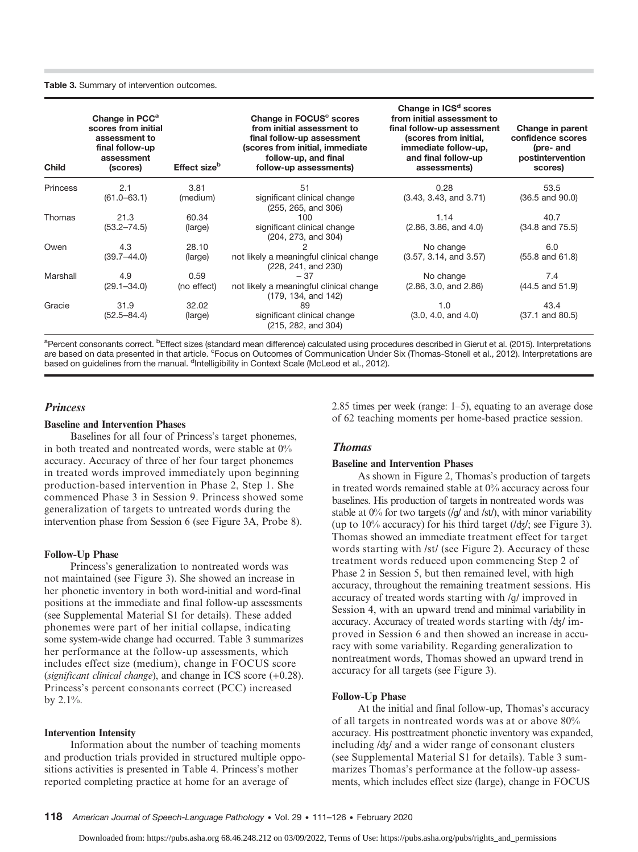#### Table 3. Summary of intervention outcomes.

| <b>Child</b> | Change in PCC <sup>a</sup><br>scores from initial<br>assessment to<br>final follow-up<br>assessment<br>(scores) | Effect size <sup>b</sup> | Change in FOCUS <sup>c</sup> scores<br>from initial assessment to<br>final follow-up assessment<br>(scores from initial, immediate<br>follow-up, and final<br>follow-up assessments) | Change in ICS <sup>d</sup> scores<br>from initial assessment to<br>final follow-up assessment<br>(scores from initial,<br>immediate follow-up,<br>and final follow-up<br>assessments) | Change in parent<br>confidence scores<br>(pre- and<br>postintervention<br>scores) |
|--------------|-----------------------------------------------------------------------------------------------------------------|--------------------------|--------------------------------------------------------------------------------------------------------------------------------------------------------------------------------------|---------------------------------------------------------------------------------------------------------------------------------------------------------------------------------------|-----------------------------------------------------------------------------------|
| Princess     | 2.1                                                                                                             | 3.81                     | 51                                                                                                                                                                                   | 0.28                                                                                                                                                                                  | 53.5                                                                              |
|              | $(61.0 - 63.1)$                                                                                                 | (medium)                 | significant clinical change<br>(255, 265, and 306)                                                                                                                                   | (3.43, 3.43, and 3.71)                                                                                                                                                                | $(36.5 \text{ and } 90.0)$                                                        |
| Thomas       | 21.3                                                                                                            | 60.34                    | 100                                                                                                                                                                                  | 1.14                                                                                                                                                                                  | 40.7                                                                              |
|              | $(53.2 - 74.5)$                                                                                                 | (large)                  | significant clinical change<br>(204, 273, and 304)                                                                                                                                   | (2.86, 3.86, and 4.0)                                                                                                                                                                 | $(34.8 \text{ and } 75.5)$                                                        |
| Owen         | 4.3                                                                                                             | 28.10                    |                                                                                                                                                                                      | No change                                                                                                                                                                             | 6.0                                                                               |
|              | $(39.7 - 44.0)$                                                                                                 | (large)                  | not likely a meaningful clinical change<br>(228, 241, and 230)                                                                                                                       | (3.57, 3.14, and 3.57)                                                                                                                                                                | $(55.8 \text{ and } 61.8)$                                                        |
| Marshall     | 4.9                                                                                                             | 0.59                     | $-37$                                                                                                                                                                                | No change                                                                                                                                                                             | 7.4                                                                               |
|              | $(29.1 - 34.0)$                                                                                                 | (no effect)              | not likely a meaningful clinical change<br>(179, 134, and 142)                                                                                                                       | (2.86, 3.0, and 2.86)                                                                                                                                                                 | $(44.5$ and $51.9)$                                                               |
| Gracie       | 31.9                                                                                                            | 32.02                    | 89                                                                                                                                                                                   | 1.0                                                                                                                                                                                   | 43.4                                                                              |
|              | $(52.5 - 84.4)$                                                                                                 | (large)                  | significant clinical change<br>(215, 282, and 304)                                                                                                                                   | (3.0, 4.0, and 4.0)                                                                                                                                                                   | $(37.1 \text{ and } 80.5)$                                                        |

<sup>a</sup>Percent consonants correct. <sup>b</sup>Effect sizes (standard mean difference) calculated using procedures described in Gierut et al. (2015). Interpretations are based on data presented in that article. <sup>c</sup>Focus on Outcomes of Communication Under Six (Thomas-Stonell et al., 2012). Interpretations are based on guidelines from the manual. <sup>d</sup>Intelligibility in Context Scale (McLeod et al., 2012).

#### **Princess**

#### Baseline and Intervention Phases

Baselines for all four of Princess's target phonemes, in both treated and nontreated words, were stable at 0% accuracy. Accuracy of three of her four target phonemes in treated words improved immediately upon beginning production-based intervention in Phase 2, Step 1. She commenced Phase 3 in Session 9. Princess showed some generalization of targets to untreated words during the intervention phase from Session 6 (see Figure 3A, Probe 8).

#### Follow-Up Phase

Princess's generalization to nontreated words was not maintained (see Figure 3). She showed an increase in her phonetic inventory in both word-initial and word-final positions at the immediate and final follow-up assessments (see Supplemental Material S1 for details). These added phonemes were part of her initial collapse, indicating some system-wide change had occurred. Table 3 summarizes her performance at the follow-up assessments, which includes effect size (medium), change in FOCUS score (significant clinical change), and change in ICS score (+0.28). Princess's percent consonants correct (PCC) increased by 2.1%.

#### Intervention Intensity

Information about the number of teaching moments and production trials provided in structured multiple oppositions activities is presented in Table 4. Princess's mother reported completing practice at home for an average of

2.85 times per week (range: 1–5), equating to an average dose of 62 teaching moments per home-based practice session.

#### Thomas

#### Baseline and Intervention Phases

As shown in Figure 2, Thomas's production of targets in treated words remained stable at 0% accuracy across four baselines. His production of targets in nontreated words was stable at  $0\%$  for two targets (/g/ and /st/), with minor variability (up to 10% accuracy) for his third target (/ʤ/; see Figure 3). Thomas showed an immediate treatment effect for target words starting with /st/ (see Figure 2). Accuracy of these treatment words reduced upon commencing Step 2 of Phase 2 in Session 5, but then remained level, with high accuracy, throughout the remaining treatment sessions. His accuracy of treated words starting with /ɡ/ improved in Session 4, with an upward trend and minimal variability in accuracy. Accuracy of treated words starting with /ʤ/ improved in Session 6 and then showed an increase in accuracy with some variability. Regarding generalization to nontreatment words, Thomas showed an upward trend in accuracy for all targets (see Figure 3).

#### Follow-Up Phase

At the initial and final follow-up, Thomas's accuracy of all targets in nontreated words was at or above 80% accuracy. His posttreatment phonetic inventory was expanded, including /ʤ/ and a wider range of consonant clusters (see Supplemental Material S1 for details). Table 3 summarizes Thomas's performance at the follow-up assessments, which includes effect size (large), change in FOCUS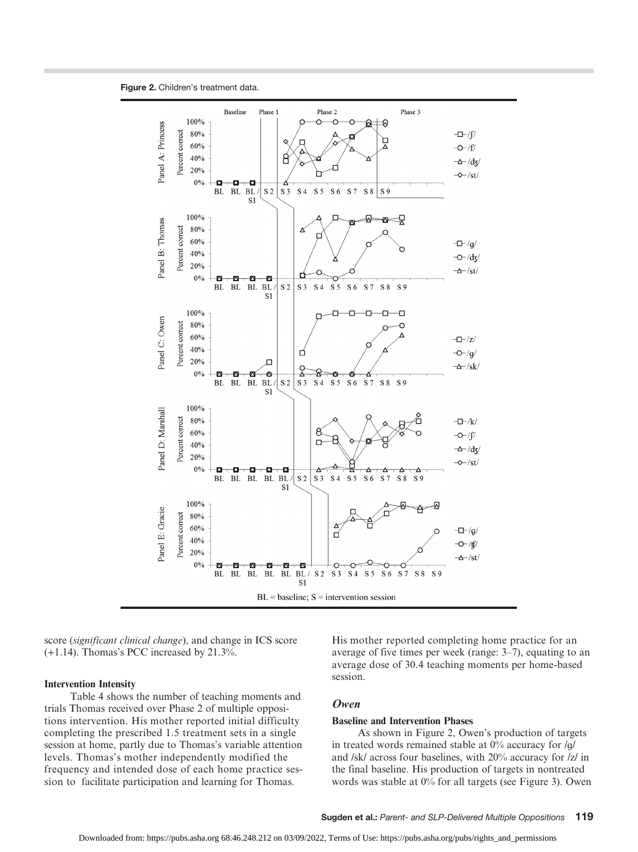



score (significant clinical change), and change in ICS score  $(+1.14)$ . Thomas's PCC increased by 21.3%.

#### Intervention Intensity

Table 4 shows the number of teaching moments and trials Thomas received over Phase 2 of multiple oppositions intervention. His mother reported initial difficulty completing the prescribed 1.5 treatment sets in a single session at home, partly due to Thomas's variable attention levels. Thomas's mother independently modified the frequency and intended dose of each home practice session to facilitate participation and learning for Thomas.

His mother reported completing home practice for an average of five times per week (range: 3–7), equating to an average dose of 30.4 teaching moments per home-based session.

#### Owen

#### Baseline and Intervention Phases

As shown in Figure 2, Owen's production of targets in treated words remained stable at 0% accuracy for /ɡ/ and /sk/ across four baselines, with 20% accuracy for /z/ in the final baseline. His production of targets in nontreated words was stable at 0% for all targets (see Figure 3). Owen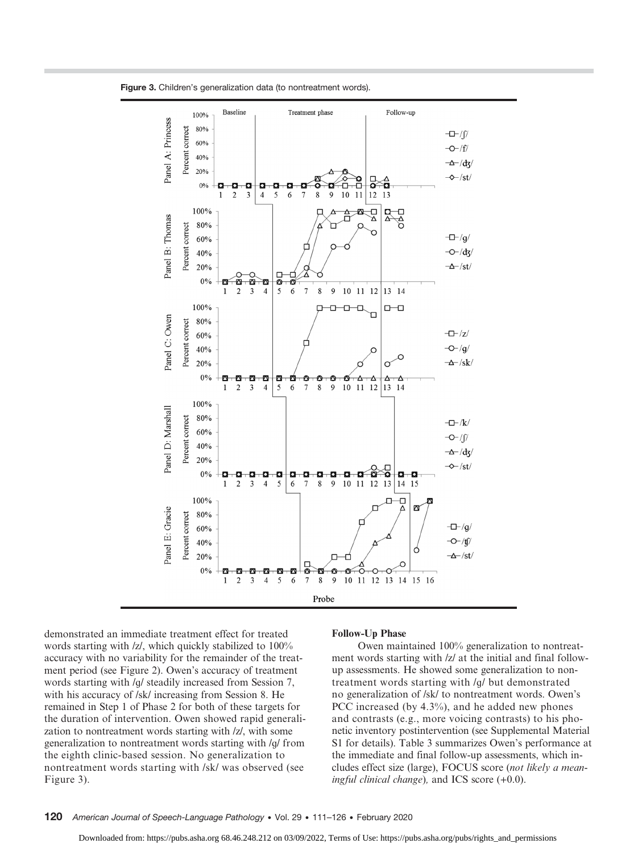

Figure 3. Children's generalization data (to nontreatment words).

demonstrated an immediate treatment effect for treated words starting with /z/, which quickly stabilized to 100% accuracy with no variability for the remainder of the treatment period (see Figure 2). Owen's accuracy of treatment words starting with /ɡ/ steadily increased from Session 7, with his accuracy of /sk/ increasing from Session 8. He remained in Step 1 of Phase 2 for both of these targets for the duration of intervention. Owen showed rapid generalization to nontreatment words starting with /z/, with some generalization to nontreatment words starting with /ɡ/ from the eighth clinic-based session. No generalization to nontreatment words starting with /sk/ was observed (see Figure 3).

#### Follow-Up Phase

Owen maintained 100% generalization to nontreatment words starting with  $|z|$  at the initial and final followup assessments. He showed some generalization to nontreatment words starting with /ɡ/ but demonstrated no generalization of /sk/ to nontreatment words. Owen's PCC increased (by 4.3%), and he added new phones and contrasts (e.g., more voicing contrasts) to his phonetic inventory postintervention (see Supplemental Material S1 for details). Table 3 summarizes Owen's performance at the immediate and final follow-up assessments, which includes effect size (large), FOCUS score (not likely a meaningful clinical change), and ICS score  $(+0.0)$ .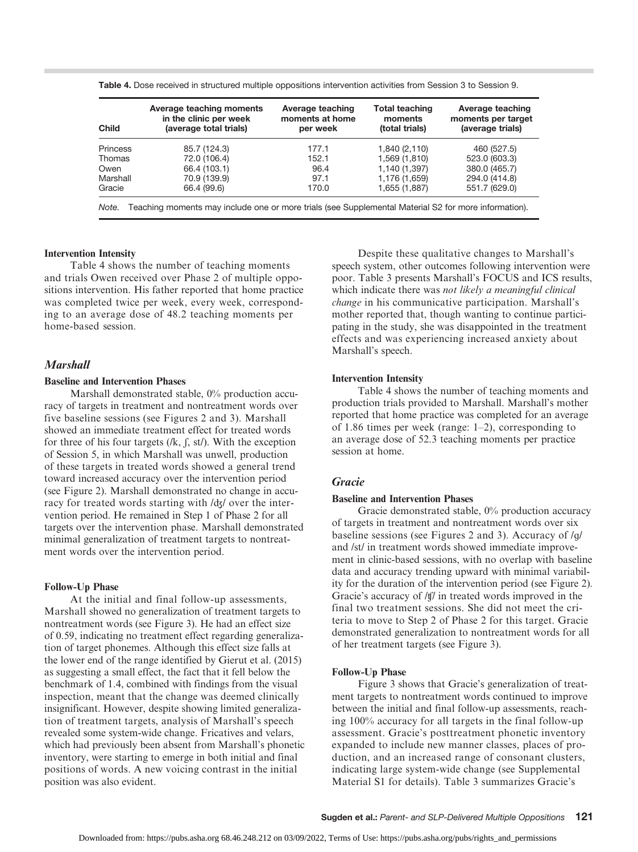| <b>Child</b>                                                                                                  | Average teaching moments<br>in the clinic per week<br>(average total trials) | Average teaching<br>moments at home<br>per week | <b>Total teaching</b><br>moments<br>(total trials) | Average teaching<br>moments per target<br>(average trials) |  |
|---------------------------------------------------------------------------------------------------------------|------------------------------------------------------------------------------|-------------------------------------------------|----------------------------------------------------|------------------------------------------------------------|--|
| <b>Princess</b>                                                                                               | 85.7 (124.3)                                                                 | 177.1                                           | 1,840 (2,110)                                      | 460 (527.5)                                                |  |
| Thomas                                                                                                        | 72.0 (106.4)                                                                 | 152.1                                           | 1,569 (1,810)                                      | 523.0 (603.3)                                              |  |
| Owen                                                                                                          | 66.4 (103.1)                                                                 | 96.4                                            | 1,140 (1,397)                                      | 380.0 (465.7)                                              |  |
| Marshall                                                                                                      | 70.9 (139.9)                                                                 | 97.1                                            | 1,176 (1,659)                                      | 294.0 (414.8)                                              |  |
| Gracie                                                                                                        | 66.4 (99.6)                                                                  | 170.0                                           | 1,655 (1,887)                                      | 551.7 (629.0)                                              |  |
| Teaching moments may include one or more trials (see Supplemental Material S2 for more information).<br>Note. |                                                                              |                                                 |                                                    |                                                            |  |

Table 4. Dose received in structured multiple oppositions intervention activities from Session 3 to Session 9.

#### Intervention Intensity

Table 4 shows the number of teaching moments and trials Owen received over Phase 2 of multiple oppositions intervention. His father reported that home practice was completed twice per week, every week, corresponding to an average dose of 48.2 teaching moments per home-based session.

#### **Marshall**

#### Baseline and Intervention Phases

Marshall demonstrated stable, 0% production accuracy of targets in treatment and nontreatment words over five baseline sessions (see Figures 2 and 3). Marshall showed an immediate treatment effect for treated words for three of his four targets  $(lk, \int, st)$ . With the exception of Session 5, in which Marshall was unwell, production of these targets in treated words showed a general trend toward increased accuracy over the intervention period (see Figure 2). Marshall demonstrated no change in accuracy for treated words starting with /ʤ/ over the intervention period. He remained in Step 1 of Phase 2 for all targets over the intervention phase. Marshall demonstrated minimal generalization of treatment targets to nontreatment words over the intervention period.

#### Follow-Up Phase

At the initial and final follow-up assessments, Marshall showed no generalization of treatment targets to nontreatment words (see Figure 3). He had an effect size of 0.59, indicating no treatment effect regarding generalization of target phonemes. Although this effect size falls at the lower end of the range identified by Gierut et al. (2015) as suggesting a small effect, the fact that it fell below the benchmark of 1.4, combined with findings from the visual inspection, meant that the change was deemed clinically insignificant. However, despite showing limited generalization of treatment targets, analysis of Marshall's speech revealed some system-wide change. Fricatives and velars, which had previously been absent from Marshall's phonetic inventory, were starting to emerge in both initial and final positions of words. A new voicing contrast in the initial position was also evident.

Despite these qualitative changes to Marshall's speech system, other outcomes following intervention were poor. Table 3 presents Marshall's FOCUS and ICS results, which indicate there was not likely a meaningful clinical change in his communicative participation. Marshall's mother reported that, though wanting to continue participating in the study, she was disappointed in the treatment effects and was experiencing increased anxiety about Marshall's speech.

#### Intervention Intensity

Table 4 shows the number of teaching moments and production trials provided to Marshall. Marshall's mother reported that home practice was completed for an average of 1.86 times per week (range: 1–2), corresponding to an average dose of 52.3 teaching moments per practice session at home.

### Gracie

### Baseline and Intervention Phases

Gracie demonstrated stable, 0% production accuracy of targets in treatment and nontreatment words over six baseline sessions (see Figures 2 and 3). Accuracy of /ɡ/ and /st/ in treatment words showed immediate improvement in clinic-based sessions, with no overlap with baseline data and accuracy trending upward with minimal variability for the duration of the intervention period (see Figure 2). Gracie's accuracy of /ʧ/ in treated words improved in the final two treatment sessions. She did not meet the criteria to move to Step 2 of Phase 2 for this target. Gracie demonstrated generalization to nontreatment words for all of her treatment targets (see Figure 3).

#### Follow-Up Phase

Figure 3 shows that Gracie's generalization of treatment targets to nontreatment words continued to improve between the initial and final follow-up assessments, reaching 100% accuracy for all targets in the final follow-up assessment. Gracie's posttreatment phonetic inventory expanded to include new manner classes, places of production, and an increased range of consonant clusters, indicating large system-wide change (see Supplemental Material S1 for details). Table 3 summarizes Gracie's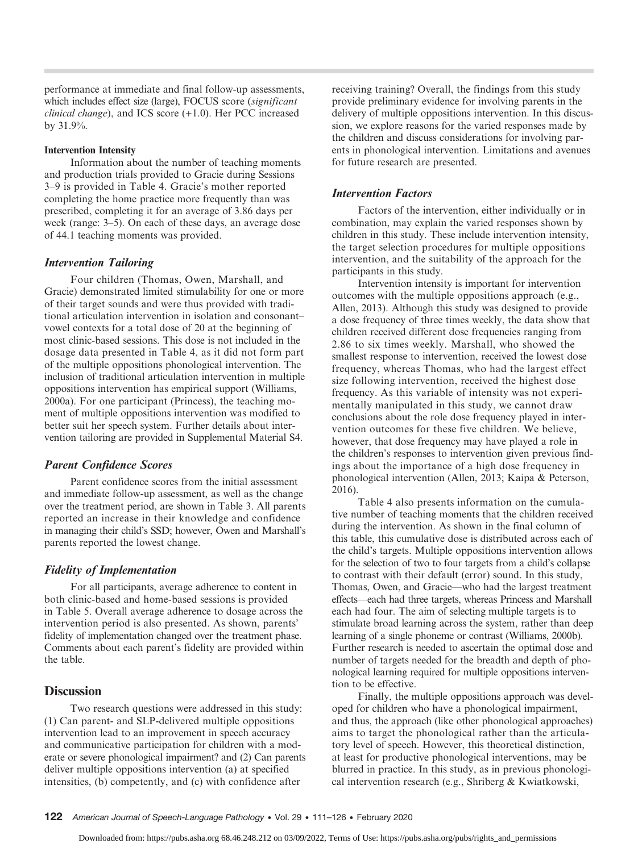performance at immediate and final follow-up assessments, which includes effect size (large), FOCUS score (significant clinical change), and ICS score (+1.0). Her PCC increased by 31.9%.

#### Intervention Intensity

Information about the number of teaching moments and production trials provided to Gracie during Sessions 3–9 is provided in Table 4. Gracie's mother reported completing the home practice more frequently than was prescribed, completing it for an average of 3.86 days per week (range: 3–5). On each of these days, an average dose of 44.1 teaching moments was provided.

#### Intervention Tailoring

Four children (Thomas, Owen, Marshall, and Gracie) demonstrated limited stimulability for one or more of their target sounds and were thus provided with traditional articulation intervention in isolation and consonant– vowel contexts for a total dose of 20 at the beginning of most clinic-based sessions. This dose is not included in the dosage data presented in Table 4, as it did not form part of the multiple oppositions phonological intervention. The inclusion of traditional articulation intervention in multiple oppositions intervention has empirical support (Williams, 2000a). For one participant (Princess), the teaching moment of multiple oppositions intervention was modified to better suit her speech system. Further details about intervention tailoring are provided in Supplemental Material S4.

#### Parent Confidence Scores

Parent confidence scores from the initial assessment and immediate follow-up assessment, as well as the change over the treatment period, are shown in Table 3. All parents reported an increase in their knowledge and confidence in managing their child's SSD; however, Owen and Marshall's parents reported the lowest change.

#### Fidelity of Implementation

For all participants, average adherence to content in both clinic-based and home-based sessions is provided in Table 5. Overall average adherence to dosage across the intervention period is also presented. As shown, parents' fidelity of implementation changed over the treatment phase. Comments about each parent's fidelity are provided within the table.

### **Discussion**

Two research questions were addressed in this study: (1) Can parent- and SLP-delivered multiple oppositions intervention lead to an improvement in speech accuracy and communicative participation for children with a moderate or severe phonological impairment? and (2) Can parents deliver multiple oppositions intervention (a) at specified intensities, (b) competently, and (c) with confidence after

receiving training? Overall, the findings from this study provide preliminary evidence for involving parents in the delivery of multiple oppositions intervention. In this discussion, we explore reasons for the varied responses made by the children and discuss considerations for involving parents in phonological intervention. Limitations and avenues for future research are presented.

#### Intervention Factors

Factors of the intervention, either individually or in combination, may explain the varied responses shown by children in this study. These include intervention intensity, the target selection procedures for multiple oppositions intervention, and the suitability of the approach for the participants in this study.

Intervention intensity is important for intervention outcomes with the multiple oppositions approach (e.g., Allen, 2013). Although this study was designed to provide a dose frequency of three times weekly, the data show that children received different dose frequencies ranging from 2.86 to six times weekly. Marshall, who showed the smallest response to intervention, received the lowest dose frequency, whereas Thomas, who had the largest effect size following intervention, received the highest dose frequency. As this variable of intensity was not experimentally manipulated in this study, we cannot draw conclusions about the role dose frequency played in intervention outcomes for these five children. We believe, however, that dose frequency may have played a role in the children's responses to intervention given previous findings about the importance of a high dose frequency in phonological intervention (Allen, 2013; Kaipa & Peterson, 2016).

Table 4 also presents information on the cumulative number of teaching moments that the children received during the intervention. As shown in the final column of this table, this cumulative dose is distributed across each of the child's targets. Multiple oppositions intervention allows for the selection of two to four targets from a child's collapse to contrast with their default (error) sound. In this study, Thomas, Owen, and Gracie—who had the largest treatment effects—each had three targets, whereas Princess and Marshall each had four. The aim of selecting multiple targets is to stimulate broad learning across the system, rather than deep learning of a single phoneme or contrast (Williams, 2000b). Further research is needed to ascertain the optimal dose and number of targets needed for the breadth and depth of phonological learning required for multiple oppositions intervention to be effective.

Finally, the multiple oppositions approach was developed for children who have a phonological impairment, and thus, the approach (like other phonological approaches) aims to target the phonological rather than the articulatory level of speech. However, this theoretical distinction, at least for productive phonological interventions, may be blurred in practice. In this study, as in previous phonological intervention research (e.g., Shriberg & Kwiatkowski,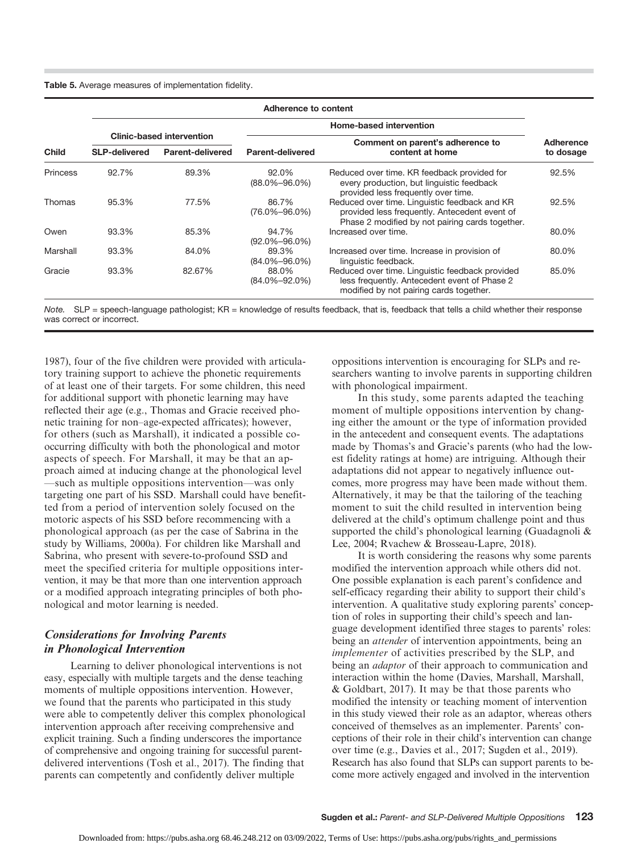Table 5. Average measures of implementation fidelity.

| <b>Child</b> | Adherence to content             |                  |                              |                                                                                                                                                   |                                  |
|--------------|----------------------------------|------------------|------------------------------|---------------------------------------------------------------------------------------------------------------------------------------------------|----------------------------------|
|              |                                  |                  |                              | Adherence                                                                                                                                         |                                  |
|              | <b>Clinic-based intervention</b> |                  |                              |                                                                                                                                                   | Comment on parent's adherence to |
|              | <b>SLP-delivered</b>             | Parent-delivered | <b>Parent-delivered</b>      | content at home                                                                                                                                   | to dosage                        |
| Princess     | 92.7%                            | 89.3%            | 92.0%<br>$(88.0\% - 96.0\%)$ | Reduced over time. KR feedback provided for<br>every production, but linguistic feedback<br>provided less frequently over time.                   | 92.5%                            |
| Thomas       | 95.3%                            | 77.5%            | 86.7%<br>$(76.0\% - 96.0\%)$ | Reduced over time. Linguistic feedback and KR<br>provided less frequently. Antecedent event of<br>Phase 2 modified by not pairing cards together. | 92.5%                            |
| Owen         | 93.3%                            | 85.3%            | 94.7%<br>$(92.0\% - 96.0\%)$ | Increased over time.                                                                                                                              | 80.0%                            |
| Marshall     | 93.3%                            | 84.0%            | 89.3%<br>$(84.0\% - 96.0\%)$ | Increased over time. Increase in provision of<br>linguistic feedback.                                                                             | 80.0%                            |
| Gracie       | 93.3%                            | 82.67%           | 88.0%<br>$(84.0\% - 92.0\%)$ | Reduced over time. Linguistic feedback provided<br>less frequently. Antecedent event of Phase 2<br>modified by not pairing cards together.        | 85.0%                            |

Note.  $SLP =$  speech-language pathologist;  $KR =$  knowledge of results feedback, that is, feedback that tells a child whether their response was correct or incorrect.

1987), four of the five children were provided with articulatory training support to achieve the phonetic requirements of at least one of their targets. For some children, this need for additional support with phonetic learning may have reflected their age (e.g., Thomas and Gracie received phonetic training for non–age-expected affricates); however, for others (such as Marshall), it indicated a possible cooccurring difficulty with both the phonological and motor aspects of speech. For Marshall, it may be that an approach aimed at inducing change at the phonological level —such as multiple oppositions intervention—was only targeting one part of his SSD. Marshall could have benefitted from a period of intervention solely focused on the motoric aspects of his SSD before recommencing with a phonological approach (as per the case of Sabrina in the study by Williams, 2000a). For children like Marshall and Sabrina, who present with severe-to-profound SSD and meet the specified criteria for multiple oppositions intervention, it may be that more than one intervention approach or a modified approach integrating principles of both phonological and motor learning is needed.

## Considerations for Involving Parents in Phonological Intervention

Learning to deliver phonological interventions is not easy, especially with multiple targets and the dense teaching moments of multiple oppositions intervention. However, we found that the parents who participated in this study were able to competently deliver this complex phonological intervention approach after receiving comprehensive and explicit training. Such a finding underscores the importance of comprehensive and ongoing training for successful parentdelivered interventions (Tosh et al., 2017). The finding that parents can competently and confidently deliver multiple

oppositions intervention is encouraging for SLPs and researchers wanting to involve parents in supporting children with phonological impairment.

In this study, some parents adapted the teaching moment of multiple oppositions intervention by changing either the amount or the type of information provided in the antecedent and consequent events. The adaptations made by Thomas's and Gracie's parents (who had the lowest fidelity ratings at home) are intriguing. Although their adaptations did not appear to negatively influence outcomes, more progress may have been made without them. Alternatively, it may be that the tailoring of the teaching moment to suit the child resulted in intervention being delivered at the child's optimum challenge point and thus supported the child's phonological learning (Guadagnoli & Lee, 2004; Rvachew & Brosseau-Lapre, 2018).

It is worth considering the reasons why some parents modified the intervention approach while others did not. One possible explanation is each parent's confidence and self-efficacy regarding their ability to support their child's intervention. A qualitative study exploring parents' conception of roles in supporting their child's speech and language development identified three stages to parents' roles: being an *attender* of intervention appointments, being an implementer of activities prescribed by the SLP, and being an *adaptor* of their approach to communication and interaction within the home (Davies, Marshall, Marshall, & Goldbart, 2017). It may be that those parents who modified the intensity or teaching moment of intervention in this study viewed their role as an adaptor, whereas others conceived of themselves as an implementer. Parents' conceptions of their role in their child's intervention can change over time (e.g., Davies et al., 2017; Sugden et al., 2019). Research has also found that SLPs can support parents to become more actively engaged and involved in the intervention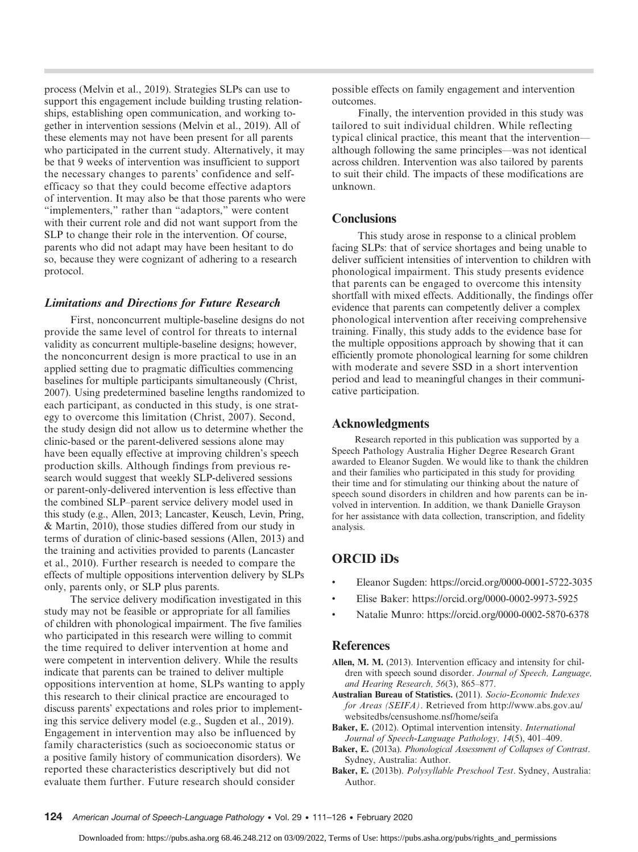process (Melvin et al., 2019). Strategies SLPs can use to support this engagement include building trusting relationships, establishing open communication, and working together in intervention sessions (Melvin et al., 2019). All of these elements may not have been present for all parents who participated in the current study. Alternatively, it may be that 9 weeks of intervention was insufficient to support the necessary changes to parents' confidence and selfefficacy so that they could become effective adaptors of intervention. It may also be that those parents who were "implementers," rather than "adaptors," were content with their current role and did not want support from the SLP to change their role in the intervention. Of course, parents who did not adapt may have been hesitant to do so, because they were cognizant of adhering to a research protocol.

## Limitations and Directions for Future Research

First, nonconcurrent multiple-baseline designs do not provide the same level of control for threats to internal validity as concurrent multiple-baseline designs; however, the nonconcurrent design is more practical to use in an applied setting due to pragmatic difficulties commencing baselines for multiple participants simultaneously (Christ, 2007). Using predetermined baseline lengths randomized to each participant, as conducted in this study, is one strategy to overcome this limitation (Christ, 2007). Second, the study design did not allow us to determine whether the clinic-based or the parent-delivered sessions alone may have been equally effective at improving children's speech production skills. Although findings from previous research would suggest that weekly SLP-delivered sessions or parent-only-delivered intervention is less effective than the combined SLP–parent service delivery model used in this study (e.g., Allen, 2013; Lancaster, Keusch, Levin, Pring, & Martin, 2010), those studies differed from our study in terms of duration of clinic-based sessions (Allen, 2013) and the training and activities provided to parents (Lancaster et al., 2010). Further research is needed to compare the effects of multiple oppositions intervention delivery by SLPs only, parents only, or SLP plus parents.

The service delivery modification investigated in this study may not be feasible or appropriate for all families of children with phonological impairment. The five families who participated in this research were willing to commit the time required to deliver intervention at home and were competent in intervention delivery. While the results indicate that parents can be trained to deliver multiple oppositions intervention at home, SLPs wanting to apply this research to their clinical practice are encouraged to discuss parents' expectations and roles prior to implementing this service delivery model (e.g., Sugden et al., 2019). Engagement in intervention may also be influenced by family characteristics (such as socioeconomic status or a positive family history of communication disorders). We reported these characteristics descriptively but did not evaluate them further. Future research should consider

possible effects on family engagement and intervention outcomes.

Finally, the intervention provided in this study was tailored to suit individual children. While reflecting typical clinical practice, this meant that the intervention although following the same principles—was not identical across children. Intervention was also tailored by parents to suit their child. The impacts of these modifications are unknown.

## **Conclusions**

This study arose in response to a clinical problem facing SLPs: that of service shortages and being unable to deliver sufficient intensities of intervention to children with phonological impairment. This study presents evidence that parents can be engaged to overcome this intensity shortfall with mixed effects. Additionally, the findings offer evidence that parents can competently deliver a complex phonological intervention after receiving comprehensive training. Finally, this study adds to the evidence base for the multiple oppositions approach by showing that it can efficiently promote phonological learning for some children with moderate and severe SSD in a short intervention period and lead to meaningful changes in their communicative participation.

## Acknowledgments

Research reported in this publication was supported by a Speech Pathology Australia Higher Degree Research Grant awarded to Eleanor Sugden. We would like to thank the children and their families who participated in this study for providing their time and for stimulating our thinking about the nature of speech sound disorders in children and how parents can be involved in intervention. In addition, we thank Danielle Grayson for her assistance with data collection, transcription, and fidelity analysis.

## ORCID iDs

- Eleanor Sugden: [https://orcid.org/0000-0001-5722-3035](https://orcid.org/0000-0002-5870-6378)
- Elise Baker: https://orcid.org/0000-0002-9973-5925
- Natalie Munro: https://orcid.org/0000-0002-5870-6378

## **References**

Allen, M. M. (2013). Intervention efficacy and intensity for children with speech sound disorder. Journal of Speech, Language, and Hearing Research, 56(3), 865–877.

- Australian Bureau of Statistics. (2011). Socio-Economic Indexes for Areas (SEIFA). Retrieved from [http://www.abs.gov.au/](http://www.abs.gov.au/websitedbs/censushome.nsf/home/seifa) [websitedbs/censushome.nsf/home/seifa](http://www.abs.gov.au/websitedbs/censushome.nsf/home/seifa)
- Baker, E. (2012). Optimal intervention intensity. International Journal of Speech-Language Pathology, 14(5), 401–409.
- Baker, E. (2013a). Phonological Assessment of Collapses of Contrast. Sydney, Australia: Author.
- Baker, E. (2013b). Polysyllable Preschool Test. Sydney, Australia: Author.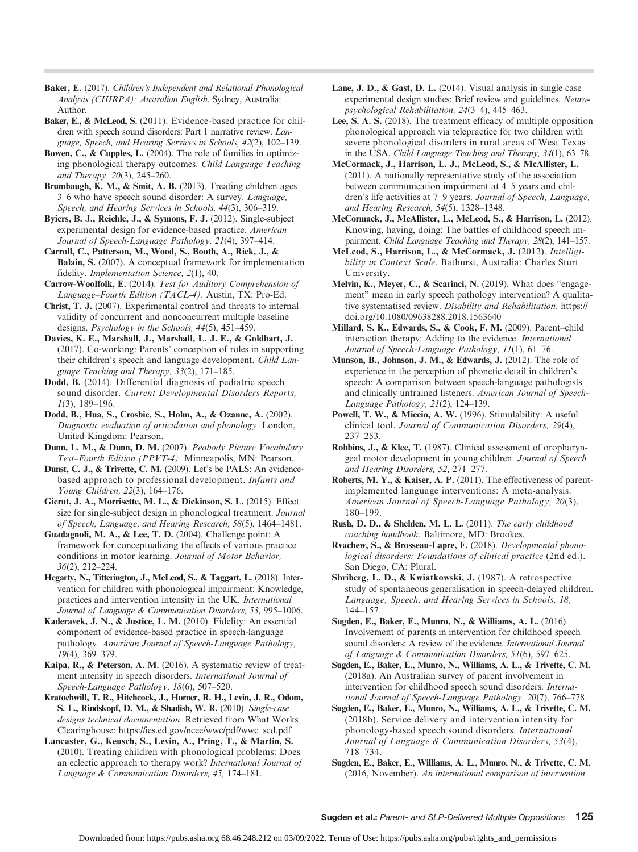Baker, E. (2017). Children's Independent and Relational Phonological Analysis (CHIRPA): Australian English. Sydney, Australia: Author.

Baker, E., & McLeod, S. (2011). Evidence-based practice for children with speech sound disorders: Part 1 narrative review. Language, Speech, and Hearing Services in Schools, 42(2), 102–139.

Bowen, C., & Cupples, L. (2004). The role of families in optimizing phonological therapy outcomes. Child Language Teaching and Therapy, 20(3), 245–260.

Brumbaugh, K. M., & Smit, A. B. (2013). Treating children ages 3–6 who have speech sound disorder: A survey. Language, Speech, and Hearing Services in Schools, 44(3), 306–319.

Byiers, B. J., Reichle, J., & Symons, F. J. (2012). Single-subject experimental design for evidence-based practice. American Journal of Speech-Language Pathology, 21(4), 397–414.

Carroll, C., Patterson, M., Wood, S., Booth, A., Rick, J., & Balain, S. (2007). A conceptual framework for implementation fidelity. Implementation Science, 2(1), 40.

Carrow-Woolfolk, E. (2014). Test for Auditory Comprehension of Language–Fourth Edition (TACL-4). Austin, TX: Pro-Ed.

Christ, T. J. (2007). Experimental control and threats to internal validity of concurrent and nonconcurrent multiple baseline designs. Psychology in the Schools, 44(5), 451–459.

Davies, K. E., Marshall, J., Marshall, L. J. E., & Goldbart, J. (2017). Co-working: Parents' conception of roles in supporting their children's speech and language development. Child Language Teaching and Therapy, 33(2), 171–185.

Dodd, B. (2014). Differential diagnosis of pediatric speech sound disorder. Current Developmental Disorders Reports, 1(3), 189–196.

Dodd, B., Hua, S., Crosbie, S., Holm, A., & Ozanne, A. (2002). Diagnostic evaluation of articulation and phonology. London, United Kingdom: Pearson.

Dunn, L. M., & Dunn, D. M. (2007). Peabody Picture Vocabulary Test–Fourth Edition (PPVT-4). Minneapolis, MN: Pearson.

Dunst, C. J., & Trivette, C. M. (2009). Let's be PALS: An evidencebased approach to professional development. Infants and Young Children, 22(3), 164–176.

Gierut, J. A., Morrisette, M. L., & Dickinson, S. L. (2015). Effect size for single-subject design in phonological treatment. Journal of Speech, Language, and Hearing Research, 58(5), 1464–1481.

Guadagnoli, M. A., & Lee, T. D. (2004). Challenge point: A framework for conceptualizing the effects of various practice conditions in motor learning. Journal of Motor Behavior, 36(2), 212–224.

Hegarty, N., Titterington, J., McLeod, S., & Taggart, L. (2018). Intervention for children with phonological impairment: Knowledge, practices and intervention intensity in the UK. International Journal of Language & Communication Disorders, 53, 995–1006.

Kaderavek, J. N., & Justice, L. M. (2010). Fidelity: An essential component of evidence-based practice in speech-language pathology. American Journal of Speech-Language Pathology, 19(4), 369–379.

Kaipa, R., & Peterson, A. M. (2016). A systematic review of treatment intensity in speech disorders. International Journal of Speech-Language Pathology, 18(6), 507–520.

Kratochwill, T. R., Hitchcock, J., Horner, R. H., Levin, J. R., Odom, S. L., Rindskopf, D. M., & Shadish, W. R. (2010). Single-case designs technical documentation. Retrieved from What Works Clearinghouse: [https://ies.ed.gov/ncee/wwc/pdf/wwc\\_scd.pdf](https://ies.ed.gov/ncee/wwc/pdf/wwc_scd.pdf)

Lancaster, G., Keusch, S., Levin, A., Pring, T., & Martin, S. (2010). Treating children with phonological problems: Does an eclectic approach to therapy work? International Journal of Language & Communication Disorders, 45, 174–181.

Lane, J. D., & Gast, D. L. (2014). Visual analysis in single case experimental design studies: Brief review and guidelines. Neuropsychological Rehabilitation, 24(3–4), 445–463.

Lee, S. A. S. (2018). The treatment efficacy of multiple opposition phonological approach via telepractice for two children with severe phonological disorders in rural areas of West Texas in the USA. Child Language Teaching and Therapy, 34(1), 63–78.

McCormack, J., Harrison, L. J., McLeod, S., & McAllister, L. (2011). A nationally representative study of the association between communication impairment at 4–5 years and children's life activities at 7–9 years. Journal of Speech, Language, and Hearing Research, 54(5), 1328–1348.

McCormack, J., McAllister, L., McLeod, S., & Harrison, L. (2012). Knowing, having, doing: The battles of childhood speech impairment. Child Language Teaching and Therapy, 28(2), 141-157.

McLeod, S., Harrison, L., & McCormack, J. (2012). Intelligibility in Context Scale. Bathurst, Australia: Charles Sturt University.

Melvin, K., Meyer, C., & Scarinci, N. (2019). What does "engagement" mean in early speech pathology intervention? A qualitative systematised review. Disability and Rehabilitation. [https://](https://doi.org/10.1080/09638288.2018.1563640) [doi.org/10.1080/09638288.2018.1563640](https://doi.org/10.1080/09638288.2018.1563640)

Millard, S. K., Edwards, S., & Cook, F. M. (2009). Parent–child interaction therapy: Adding to the evidence. International Journal of Speech-Language Pathology, 11(1), 61–76.

Munson, B., Johnson, J. M., & Edwards, J. (2012). The role of experience in the perception of phonetic detail in children's speech: A comparison between speech-language pathologists and clinically untrained listeners. American Journal of Speech-Language Pathology, 21(2), 124–139.

Powell, T. W., & Miccio, A. W. (1996). Stimulability: A useful clinical tool. Journal of Communication Disorders, 29(4), 237–253.

Robbins, J., & Klee, T. (1987). Clinical assessment of oropharyngeal motor development in young children. Journal of Speech and Hearing Disorders, 52, 271–277.

Roberts, M. Y., & Kaiser, A. P. (2011). The effectiveness of parentimplemented language interventions: A meta-analysis. American Journal of Speech-Language Pathology, 20(3), 180–199.

Rush, D. D., & Shelden, M. L. L. (2011). The early childhood coaching handbook. Baltimore, MD: Brookes.

Rvachew, S., & Brosseau-Lapre, F. (2018). Developmental phonological disorders: Foundations of clinical practice (2nd ed.). San Diego, CA: Plural.

Shriberg, L. D., & Kwiatkowski, J. (1987). A retrospective study of spontaneous generalisation in speech-delayed children. Language, Speech, and Hearing Services in Schools, 18, 144–157.

Sugden, E., Baker, E., Munro, N., & Williams, A. L. (2016). Involvement of parents in intervention for childhood speech sound disorders: A review of the evidence. International Journal of Language & Communication Disorders, 51(6), 597–625.

Sugden, E., Baker, E., Munro, N., Williams, A. L., & Trivette, C. M. (2018a). An Australian survey of parent involvement in intervention for childhood speech sound disorders. International Journal of Speech-Language Pathology, 20(7), 766–778.

Sugden, E., Baker, E., Munro, N., Williams, A. L., & Trivette, C. M. (2018b). Service delivery and intervention intensity for phonology-based speech sound disorders. International Journal of Language & Communication Disorders, 53(4), 718–734.

Sugden, E., Baker, E., Williams, A. L., Munro, N., & Trivette, C. M. (2016, November). An international comparison of intervention